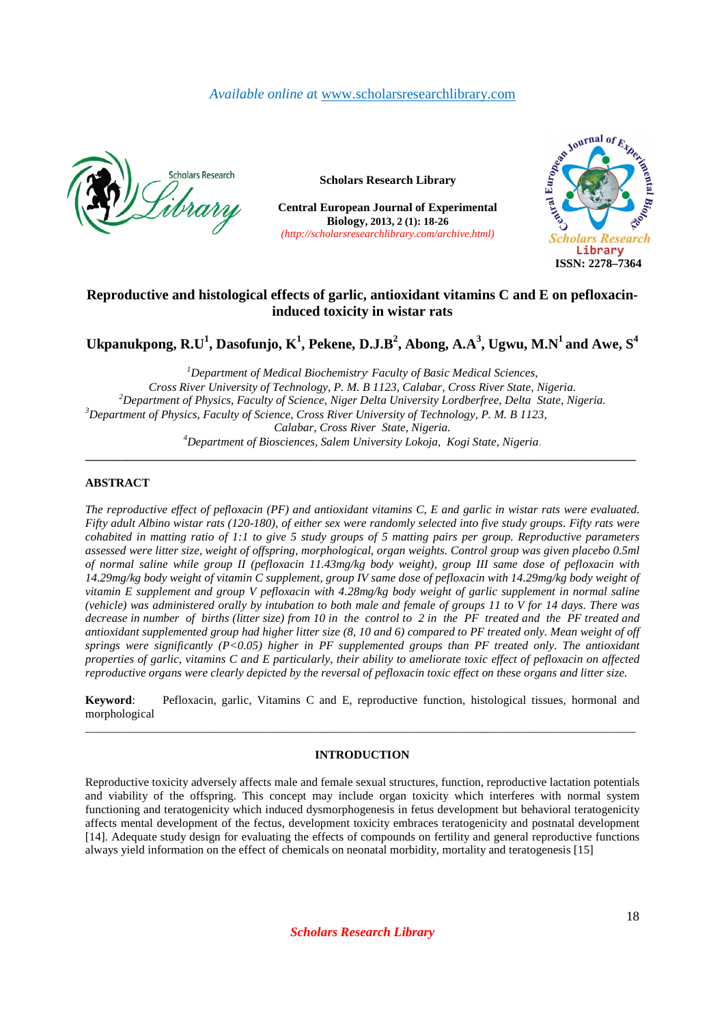# *Available online a*t www.scholarsresearchlibrary.com



**Scholars Research Library**

**Central European Journal of Experimental Biology, 2013, 2 (1): 18-26**  *(http://scholarsresearchlibrary.com/archive.html)*



# **Reproductive and histological effects of garlic, antioxidant vitamins C and E on pefloxacininduced toxicity in wistar rats**

 $\bf U$ kpanukpong,  $\bf R.\bf U^1$ ,  $\bf D$ asofunjo,  $\bf K^1$ ,  $\bf P$ ekene,  $\bf D.\bf J.\bf B^2$ ,  $\bf A$ bong,  $\bf A.\bf A^3$ ,  $\bf U$ gwu,  $\bf M.\bf N^1$  and  $\bf A$ we,  $\bf S^4$ 

**\_\_\_\_\_\_\_\_\_\_\_\_\_\_\_\_\_\_\_\_\_\_\_\_\_\_\_\_\_\_\_\_\_\_\_\_\_\_\_\_\_\_\_\_\_\_\_\_\_\_\_\_\_\_\_\_\_\_\_\_\_\_\_\_\_\_\_\_\_\_\_\_\_\_\_\_\_\_\_\_\_\_\_\_\_\_\_\_\_\_\_\_\_**

*Department of Medical Biochemistry, Faculty of Basic Medical Sciences, Cross River University of Technology, P. M. B 1123, Calabar, Cross River State, Nigeria. Department of Physics, Faculty of Science, Niger Delta University Lordberfree, Delta State, Nigeria. Department of Physics, Faculty of Science, Cross River University of Technology, P. M. B 1123, Calabar, Cross River State, Nigeria. Department of Biosciences, Salem University Lokoja, Kogi State, Nigeria*.

## **ABSTRACT**

*The reproductive effect of pefloxacin (PF) and antioxidant vitamins C, E and garlic in wistar rats were evaluated. Fifty adult Albino wistar rats (120-180), of either sex were randomly selected into five study groups. Fifty rats were cohabited in matting ratio of 1:1 to give 5 study groups of 5 matting pairs per group. Reproductive parameters assessed were litter size, weight of offspring, morphological, organ weights. Control group was given placebo 0.5ml of normal saline while group II (pefloxacin 11.43mg/kg body weight), group III same dose of pefloxacin with 14.29mg/kg body weight of vitamin C supplement, group IV same dose of pefloxacin with 14.29mg/kg body weight of vitamin E supplement and group V pefloxacin with 4.28mg/kg body weight of garlic supplement in normal saline (vehicle) was administered orally by intubation to both male and female of groups 11 to V for 14 days. There was decrease in number of births (litter size) from 10 in the control to 2 in the PF treated and the PF treated and antioxidant supplemented group had higher litter size (8, 10 and 6) compared to PF treated only. Mean weight of off springs were significantly (P<0.05) higher in PF supplemented groups than PF treated only. The antioxidant properties of garlic, vitamins C and E particularly, their ability to ameliorate toxic effect of pefloxacin on affected reproductive organs were clearly depicted by the reversal of pefloxacin toxic effect on these organs and litter size.* 

**Keyword**: Pefloxacin, garlic, Vitamins C and E, reproductive function, histological tissues, hormonal and morphological \_\_\_\_\_\_\_\_\_\_\_\_\_\_\_\_\_\_\_\_\_\_\_\_\_\_\_\_\_\_\_\_\_\_\_\_\_\_\_\_\_\_\_\_\_\_\_\_\_\_\_\_\_\_\_\_\_\_\_\_\_\_\_\_\_\_\_\_\_\_\_\_\_\_\_\_\_\_\_\_\_\_\_\_\_\_\_\_\_\_\_\_\_

## **INTRODUCTION**

Reproductive toxicity adversely affects male and female sexual structures, function, reproductive lactation potentials and viability of the offspring. This concept may include organ toxicity which interferes with normal system functioning and teratogenicity which induced dysmorphogenesis in fetus development but behavioral teratogenicity affects mental development of the fectus, development toxicity embraces teratogenicity and postnatal development [14]. Adequate study design for evaluating the effects of compounds on fertility and general reproductive functions always yield information on the effect of chemicals on neonatal morbidity, mortality and teratogenesis [15]

*Scholars Research Library*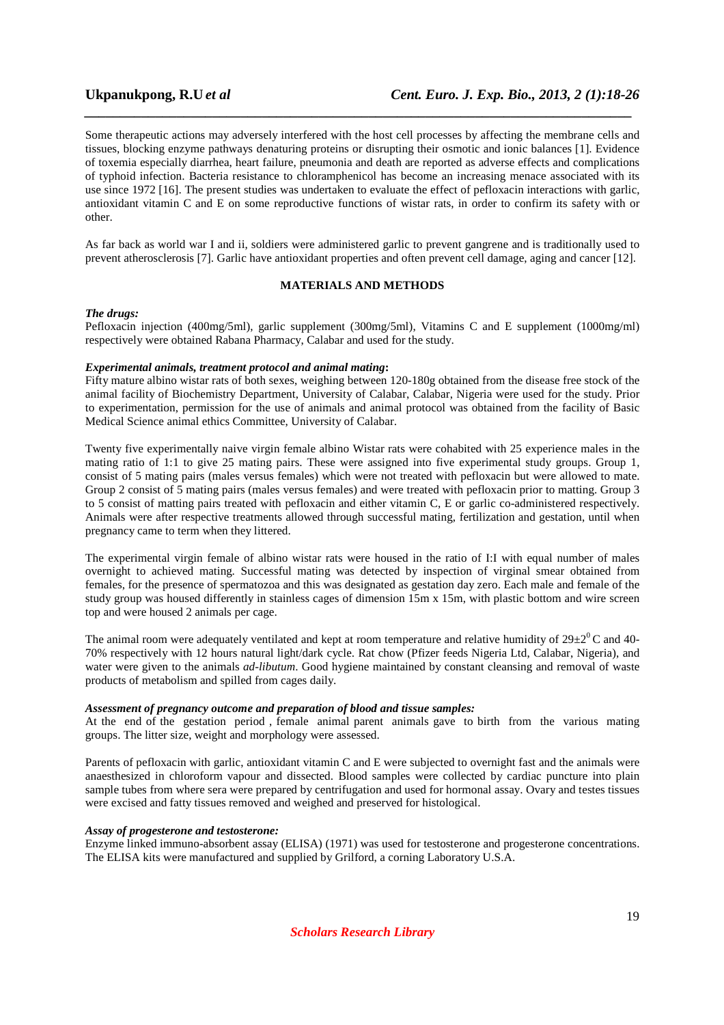Some therapeutic actions may adversely interfered with the host cell processes by affecting the membrane cells and tissues, blocking enzyme pathways denaturing proteins or disrupting their osmotic and ionic balances [1]. Evidence of toxemia especially diarrhea, heart failure, pneumonia and death are reported as adverse effects and complications of typhoid infection. Bacteria resistance to chloramphenicol has become an increasing menace associated with its use since 1972 [16]. The present studies was undertaken to evaluate the effect of pefloxacin interactions with garlic, antioxidant vitamin C and E on some reproductive functions of wistar rats, in order to confirm its safety with or other.

*\_\_\_\_\_\_\_\_\_\_\_\_\_\_\_\_\_\_\_\_\_\_\_\_\_\_\_\_\_\_\_\_\_\_\_\_\_\_\_\_\_\_\_\_\_\_\_\_\_\_\_\_\_\_\_\_\_\_\_\_\_\_\_\_\_\_\_\_\_\_\_\_\_\_\_\_\_*

As far back as world war I and ii, soldiers were administered garlic to prevent gangrene and is traditionally used to prevent atherosclerosis [7]. Garlic have antioxidant properties and often prevent cell damage, aging and cancer [12].

## **MATERIALS AND METHODS**

### *The drugs:*

Pefloxacin injection (400mg/5ml), garlic supplement (300mg/5ml), Vitamins C and E supplement (1000mg/ml) respectively were obtained Rabana Pharmacy, Calabar and used for the study.

## *Experimental animals, treatment protocol and animal mating***:**

Fifty mature albino wistar rats of both sexes, weighing between 120-180g obtained from the disease free stock of the animal facility of Biochemistry Department, University of Calabar, Calabar, Nigeria were used for the study. Prior to experimentation, permission for the use of animals and animal protocol was obtained from the facility of Basic Medical Science animal ethics Committee, University of Calabar.

Twenty five experimentally naive virgin female albino Wistar rats were cohabited with 25 experience males in the mating ratio of 1:1 to give 25 mating pairs. These were assigned into five experimental study groups. Group 1, consist of 5 mating pairs (males versus females) which were not treated with pefloxacin but were allowed to mate. Group 2 consist of 5 mating pairs (males versus females) and were treated with pefloxacin prior to matting. Group 3 to 5 consist of matting pairs treated with pefloxacin and either vitamin C, E or garlic co-administered respectively. Animals were after respective treatments allowed through successful mating, fertilization and gestation, until when pregnancy came to term when they littered.

The experimental virgin female of albino wistar rats were housed in the ratio of I:I with equal number of males overnight to achieved mating. Successful mating was detected by inspection of virginal smear obtained from females, for the presence of spermatozoa and this was designated as gestation day zero. Each male and female of the study group was housed differently in stainless cages of dimension 15m x 15m, with plastic bottom and wire screen top and were housed 2 animals per cage.

The animal room were adequately ventilated and kept at room temperature and relative humidity of  $29\pm2^0$ C and 40-70% respectively with 12 hours natural light/dark cycle. Rat chow (Pfizer feeds Nigeria Ltd, Calabar, Nigeria), and water were given to the animals *ad-libutum*. Good hygiene maintained by constant cleansing and removal of waste products of metabolism and spilled from cages daily.

## *Assessment of pregnancy outcome and preparation of blood and tissue samples:*

At the end of the gestation period , female animal parent animals gave to birth from the various mating groups. The litter size, weight and morphology were assessed.

Parents of pefloxacin with garlic, antioxidant vitamin C and E were subjected to overnight fast and the animals were anaesthesized in chloroform vapour and dissected. Blood samples were collected by cardiac puncture into plain sample tubes from where sera were prepared by centrifugation and used for hormonal assay. Ovary and testes tissues were excised and fatty tissues removed and weighed and preserved for histological.

## *Assay of progesterone and testosterone:*

Enzyme linked immuno-absorbent assay (ELISA) (1971) was used for testosterone and progesterone concentrations. The ELISA kits were manufactured and supplied by Grilford, a corning Laboratory U.S.A.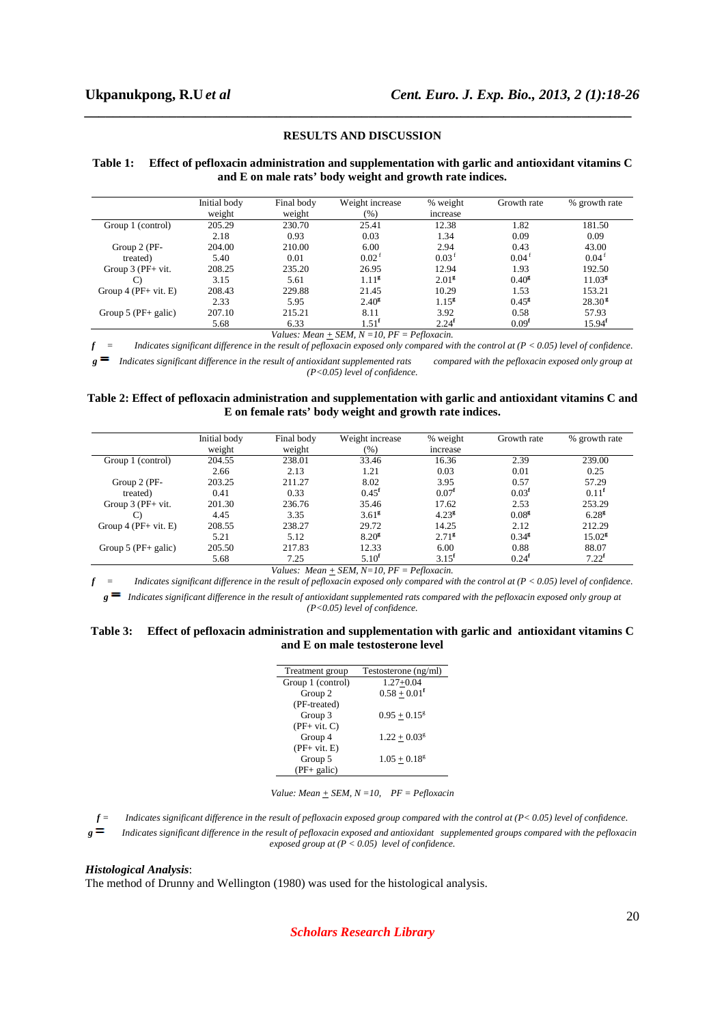#### **RESULTS AND DISCUSSION**

*\_\_\_\_\_\_\_\_\_\_\_\_\_\_\_\_\_\_\_\_\_\_\_\_\_\_\_\_\_\_\_\_\_\_\_\_\_\_\_\_\_\_\_\_\_\_\_\_\_\_\_\_\_\_\_\_\_\_\_\_\_\_\_\_\_\_\_\_\_\_\_\_\_\_\_\_\_*

### **Table 1: Effect of pefloxacin administration and supplementation with garlic and antioxidant vitamins C and E on male rats' body weight and growth rate indices.**

|                        | Initial body<br>weight | Final body<br>weight | Weight increase<br>(%) | % weight<br>increase | Growth rate         | % growth rate      |
|------------------------|------------------------|----------------------|------------------------|----------------------|---------------------|--------------------|
| Group 1 (control)      | 205.29                 | 230.70               | 25.41                  | 12.38                | 1.82                | 181.50             |
|                        | 2.18                   | 0.93                 | 0.03                   | 1.34                 | 0.09                | 0.09               |
| Group 2 (PF-           | 204.00                 | 210.00               | 6.00                   | 2.94                 | 0.43                | 43.00              |
| treated)               | 5.40                   | 0.01                 | $0.02^{\text{f}}$      | 0.03 <sup>1</sup>    | $0.04$ <sup>t</sup> | $0.04^{\text{t}}$  |
| Group $3$ (PF+ vit.    | 208.25                 | 235.20               | 26.95                  | 12.94                | 1.93                | 192.50             |
| $\mathcal{C}$          | 3.15                   | 5.61                 | 1.11 <sup>g</sup>      | 2.01 <sup>g</sup>    | $0.40^{g}$          | 11.03 <sup>g</sup> |
| Group $4$ (PF+ vit. E) | 208.43                 | 229.88               | 21.45                  | 10.29                | 1.53                | 153.21             |
|                        | 2.33                   | 5.95                 | $2.40^{\rm g}$         | $1.15^{8}$           | $0.45^{\rm g}$      | 28.30 <sup>g</sup> |
| Group $5$ (PF+ galic)  | 207.10                 | 215.21               | 8.11                   | 3.92                 | 0.58                | 57.93              |
|                        | 5.68                   | 6.33                 | 1.51 <sup>f</sup>      | 2.24 <sup>f</sup>    | 0.09 <sup>f</sup>   | 15.94 <sup>f</sup> |

*Values: Mean + SEM, N =10, PF = Pefloxacin.* 

*f = Indicates significant difference in the result of pefloxacin exposed only compared with the control at (P < 0.05) level of confidence. Indicates significant difference in the result of antioxidant supplemented rats* compared with the pefloxacin exposed only group at *(P<0.05) level of confidence.* 

### **Table 2: Effect of pefloxacin administration and supplementation with garlic and antioxidant vitamins C and E on female rats' body weight and growth rate indices.**

|                        | Initial body<br>weight | Final body<br>weight | Weight increase<br>(96) | % weight<br>increase | Growth rate       | % growth rate   |
|------------------------|------------------------|----------------------|-------------------------|----------------------|-------------------|-----------------|
| Group 1 (control)      | 204.55                 | 238.01               | 33.46                   | 16.36                | 2.39              | 239.00          |
|                        | 2.66                   | 2.13                 | 1.21                    | 0.03                 | 0.01              | 0.25            |
| Group 2 (PF-           | 203.25                 | 211.27               | 8.02                    | 3.95                 | 0.57              | 57.29           |
| treated)               | 0.41                   | 0.33                 | $0.45$ <sup>f</sup>     | 0.07 <sup>f</sup>    | 0.03 <sup>f</sup> | $0.11^{\rm f}$  |
| Group $3$ (PF+ vit.    | 201.30                 | 236.76               | 35.46                   | 17.62                | 2.53              | 253.29          |
| C)                     | 4.45                   | 3.35                 | 3.61 <sup>g</sup>       | $4.23^{\circ}$       | 0.08 <sup>g</sup> | $6.28^{g}$      |
| Group $4$ (PF+ vit. E) | 208.55                 | 238.27               | 29.72                   | 14.25                | 2.12              | 212.29          |
|                        | 5.21                   | 5.12                 | 8.20 <sup>g</sup>       | 2.71 <sup>g</sup>    | $0.34^{g}$        | $15.02^{\rm g}$ |
| Group $5$ (PF+ galic)  | 205.50                 | 217.83               | 12.33                   | 6.00                 | 0.88              | 88.07           |
|                        | 5.68                   | 7.25                 | $5.10^{f}$              | $3.15^{f}$           | 0.24 <sup>f</sup> | $7.22^f$        |

*Values: Mean + SEM, N=10, PF = Pefloxacin.* 

 $f =$  Indicates significant difference in the result of pefloxacin exposed only compared with the control at  $(P < 0.05)$  level of confidence.  $g =$  Indicates significant difference in the result of antioxidant supplemented rats compared with the pefloxacin exposed only group at

*(P<0.05) level of confidence.* 

#### **Table 3: Effect of pefloxacin administration and supplementation with garlic and antioxidant vitamins C and E on male testosterone level**

| Treatment group   | Testosterone (ng/ml)       |
|-------------------|----------------------------|
| Group 1 (control) | $1.27 + 0.04$              |
| Group 2           | $0.58 + 0.01^f$            |
| (PF-treated)      |                            |
| Group 3           | $0.95 + 0.15^g$            |
| $(PF+ vit. C)$    |                            |
| Group 4           | $1.22 + 0.03g$             |
| $(PF+vit. E)$     |                            |
| Group 5           | $1.05 + 0.18$ <sup>g</sup> |
| $(PF+ galic)$     |                            |
|                   |                            |

*Value: Mean + SEM, N =10, PF = Pefloxacin* 

*g Indicates significant difference in the result of pefloxacin exposed and antioxidant supplemented groups compared with the pefloxacin*   $\emph{exposed group at (P < 0.05) level of confidence.}$ 

#### *Histological Analysis*:

The method of Drunny and Wellington (1980) was used for the histological analysis.

## *Scholars Research Library*

 $f =$  Indicates significant difference in the result of pefloxacin exposed group compared with the control at  $(P < 0.05)$  level of confidence.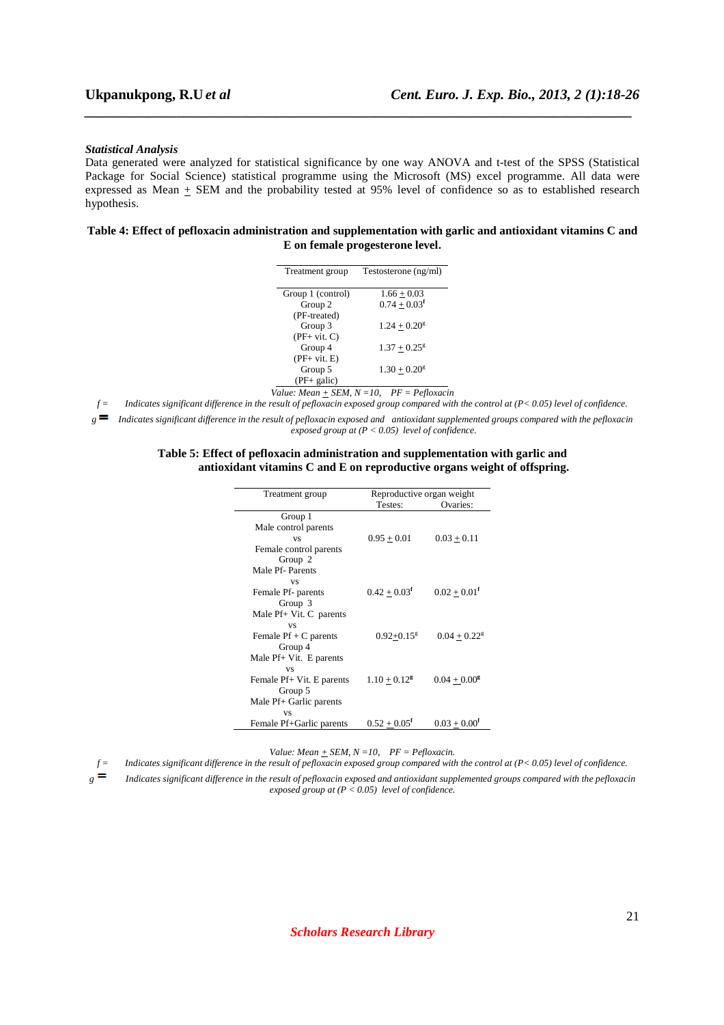#### *Statistical Analysis*

Data generated were analyzed for statistical significance by one way ANOVA and t-test of the SPSS (Statistical Package for Social Science) statistical programme using the Microsoft (MS) excel programme. All data were expressed as Mean + SEM and the probability tested at 95% level of confidence so as to established research hypothesis.

*\_\_\_\_\_\_\_\_\_\_\_\_\_\_\_\_\_\_\_\_\_\_\_\_\_\_\_\_\_\_\_\_\_\_\_\_\_\_\_\_\_\_\_\_\_\_\_\_\_\_\_\_\_\_\_\_\_\_\_\_\_\_\_\_\_\_\_\_\_\_\_\_\_\_\_\_\_*

## **Table 4: Effect of pefloxacin administration and supplementation with garlic and antioxidant vitamins C and E on female progesterone level.**

| Treatment group   | Testosterone (ng/ml)       |
|-------------------|----------------------------|
| Group 1 (control) | $1.66 + 0.03$              |
| Group 2           | $0.74 + 0.03$ <sup>f</sup> |
| (PF-treated)      |                            |
| Group 3           | $1.24 + 0.20$ <sup>g</sup> |
| $(PF+vit. C)$     |                            |
| Group 4           | $1.37 + 0.25^8$            |
| $(PF+vit. E)$     |                            |
| Group 5           | $1.30 + 0.20g$             |
| (PF+ galic)       |                            |
|                   |                            |

*Value: Mean + SEM, N =10, PF = Pefloxacin* 

*f = Indicates significant difference in the result of pefloxacin exposed group compared with the control at (P< 0.05) level of confidence.* 

*g Indicates significant difference in the result of pefloxacin exposed and antioxidant supplemented groups compared with the pefloxacin exposed group at (P < 0.05) level of confidence.* 

#### **Table 5: Effect of pefloxacin administration and supplementation with garlic and antioxidant vitamins C and E on reproductive organs weight of offspring.**

| Treatment group           | Reproductive organ weight  |                            |
|---------------------------|----------------------------|----------------------------|
|                           | Testes:                    | Ovaries:                   |
| Group 1                   |                            |                            |
| Male control parents      |                            |                            |
| <b>VS</b>                 | $0.95 + 0.01$              | $0.03 + 0.11$              |
| Female control parents    |                            |                            |
| Group 2                   |                            |                            |
| Male Pf- Parents          |                            |                            |
| <b>VS</b>                 |                            |                            |
| Female Pf- parents        | $0.42 + 0.03^f$            | $0.02 + 0.01^t$            |
| Group 3                   |                            |                            |
| Male Pf+ Vit. C parents   |                            |                            |
| <b>VS</b>                 |                            |                            |
| Female $Pf + C$ parents   | $0.92 + 0.15$ <sup>g</sup> | $0.04 + 0.22$ <sup>g</sup> |
| Group 4                   |                            |                            |
| Male Pf+ Vit. E parents   |                            |                            |
| <b>VS</b>                 |                            |                            |
| Female Pf+ Vit. E parents | $1.10 + 0.12$ <sup>g</sup> | $0.04 + 0.00^8$            |
| Group 5                   |                            |                            |
| Male Pf+ Garlic parents   |                            |                            |
| <b>VS</b>                 |                            |                            |
| Female Pf+Garlic parents  | $0.52 + 0.05^{\rm f}$      | $0.03 + 0.00^t$            |

*Value: Mean + SEM, N =10, PF = Pefloxacin.* 

*f = Indicates significant difference in the result of pefloxacin exposed group compared with the control at (P< 0.05) level of confidence.* 

*g Indicates significant difference in the result of pefloxacin exposed and antioxidant supplemented groups compared with the pefloxacin exposed group at (P < 0.05) level of confidence.*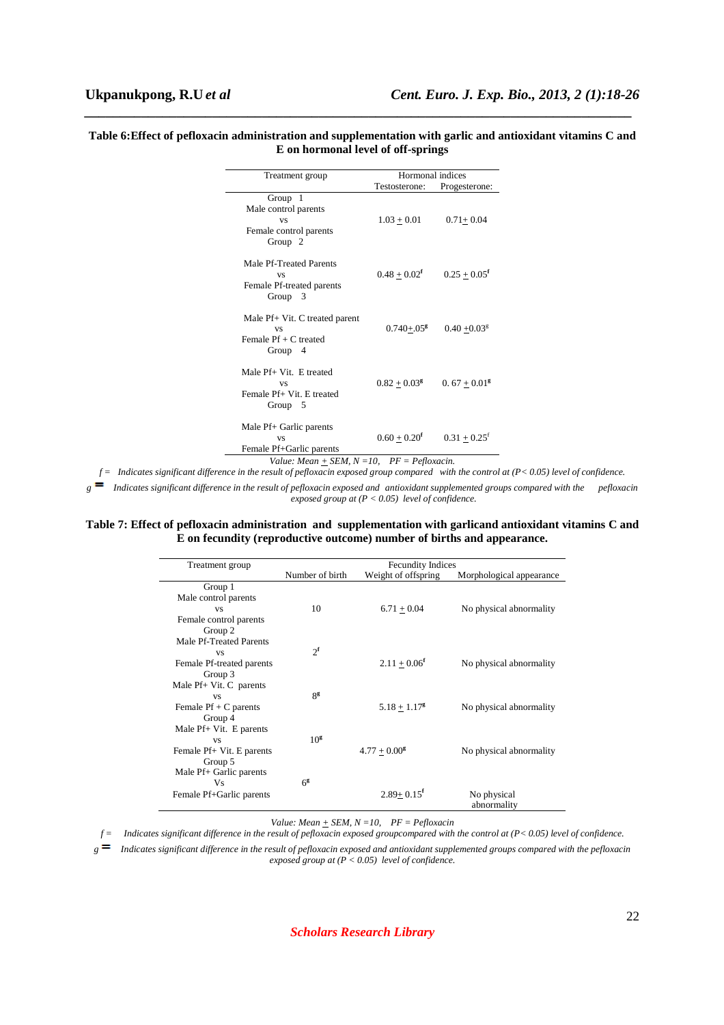### **Table 6:Effect of pefloxacin administration and supplementation with garlic and antioxidant vitamins C and E on hormonal level of off-springs**

*\_\_\_\_\_\_\_\_\_\_\_\_\_\_\_\_\_\_\_\_\_\_\_\_\_\_\_\_\_\_\_\_\_\_\_\_\_\_\_\_\_\_\_\_\_\_\_\_\_\_\_\_\_\_\_\_\_\_\_\_\_\_\_\_\_\_\_\_\_\_\_\_\_\_\_\_\_*

| Treatment group                                                                                                 | Hormonal indices            |                          |  |
|-----------------------------------------------------------------------------------------------------------------|-----------------------------|--------------------------|--|
|                                                                                                                 | Testosterone:               | Progesterone:            |  |
| Group $1$<br>Male control parents<br><b>VS</b><br>Female control parents<br>Group $2$                           | $1.03 + 0.01$               | $0.71 + 0.04$            |  |
| Male Pf-Treated Parents<br><b>VS</b><br>Female Pf-treated parents<br>Group $3$                                  | $0.48 + 0.02^f$             | $0.25 + 0.05^f$          |  |
| Male Pf+ Vit. C treated parent<br><b>VS</b><br>Female $Pf + C$ treated<br>Group $4$                             | $0.740 + 0.05$ <sup>g</sup> | $0.40 + 0.03g$           |  |
| Male Pf+ Vit. E treated<br><b>VS</b><br>Female Pf+ Vit. E treated<br>Group $5$                                  | $0.82 + 0.03^{\rm g}$       | $0.67 + 0.01^{\text{g}}$ |  |
| Male Pf+ Garlic parents<br><b>VS</b><br>Female Pf+Garlic parents<br>Value: Mean + SEM, N = 10, PF = Pefloxacin. | $0.60 + 0.20$ <sup>f</sup>  | $0.31 + 0.25^t$          |  |

*f = Indicates significant difference in the result of pefloxacin exposed group compared with the control at (P< 0.05) level of confidence.* 

*g Indicates significant difference in the result of pefloxacin exposed and antioxidant supplemented groups compared with the pefloxacin*   $\frac{1}{2}$  exposed group at ( $P < 0.05$ ) level of confidence.

## **Table 7: Effect of pefloxacin administration and supplementation with garlicand antioxidant vitamins C and E on fecundity (reproductive outcome) number of births and appearance.**

| Treatment group             | <b>Fecundity Indices</b> |                            |                            |  |
|-----------------------------|--------------------------|----------------------------|----------------------------|--|
|                             | Number of birth          | Weight of offspring        | Morphological appearance   |  |
| Group 1                     |                          |                            |                            |  |
| Male control parents        |                          |                            |                            |  |
| <b>VS</b>                   | 10                       | $6.71 + 0.04$              | No physical abnormality    |  |
| Female control parents      |                          |                            |                            |  |
| Group 2                     |                          |                            |                            |  |
| Male Pf-Treated Parents     |                          |                            |                            |  |
| <b>VS</b>                   | $2^{\mathbf{f}}$         |                            |                            |  |
| Female Pf-treated parents   |                          | $2.11 + 0.06^f$            | No physical abnormality    |  |
| Group 3                     |                          |                            |                            |  |
| Male $Pf + Vit$ . C parents |                          |                            |                            |  |
| <b>VS</b>                   | 8 <sup>g</sup>           |                            |                            |  |
| Female $Pf + C$ parents     |                          | $5.18 + 1.17^g$            | No physical abnormality    |  |
|                             |                          |                            |                            |  |
| Group 4                     |                          |                            |                            |  |
| Male Pf+ Vit. E parents     |                          |                            |                            |  |
| <b>VS</b>                   | 10 <sup>g</sup>          |                            |                            |  |
| Female Pf+ Vit. E parents   |                          | $4.77 + 0.00^8$            | No physical abnormality    |  |
| Group 5                     |                          |                            |                            |  |
| Male Pf+ Garlic parents     |                          |                            |                            |  |
| Vs                          | $6^{\rm g}$              |                            |                            |  |
| Female Pf+Garlic parents    |                          | $2.89 + 0.15$ <sup>f</sup> | No physical<br>abnormality |  |

*Value: Mean + SEM, N =10, PF = Pefloxacin* 

*f = Indicates significant difference in the result of pefloxacin exposed groupcompared with the control at (P< 0.05) level of confidence.* 

*g Indicates significant difference in the result of pefloxacin exposed and antioxidant supplemented groups compared with the pefloxacin exposed group at (P < 0.05) level of confidence.*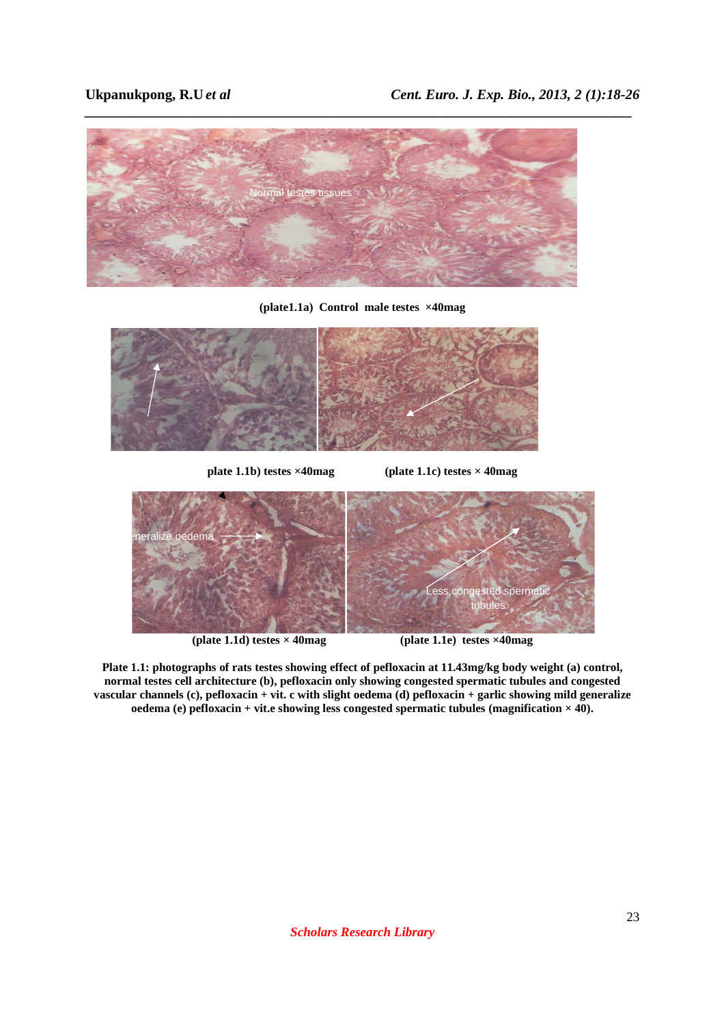

**(plate1.1a) Control male testes ×40mag** 



**plate 1.1b) testes ×40mag (plate 1.1c) testes × 40mag**



**(plate 1.1d) testes × 40mag (plate 1.1e) testes ×40mag** 

**Plate 1.1: photographs of rats testes showing effect of pefloxacin at 11.43mg/kg body weight (a) control, normal testes cell architecture (b), pefloxacin only showing congested spermatic tubules and congested vascular channels (c), pefloxacin + vit. c with slight oedema (d) pefloxacin + garlic showing mild generalize oedema (e) pefloxacin + vit.e showing less congested spermatic tubules (magnification × 40).**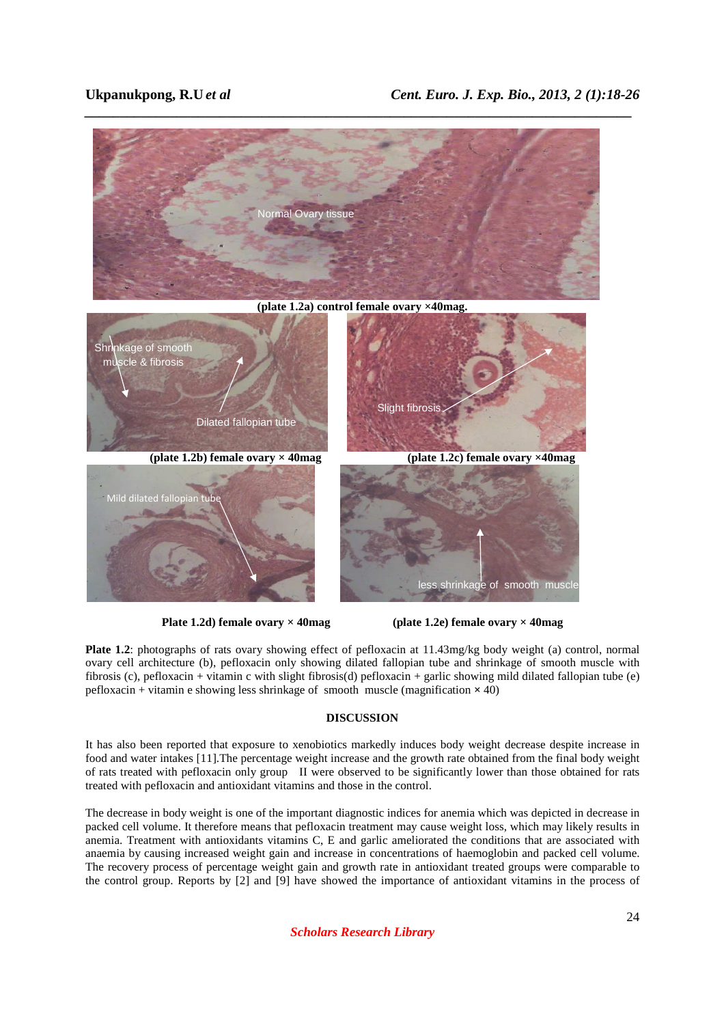

**Plate 1.2d) female ovary × 40mag (plate 1.2e) female ovary × 40mag** 

**Plate 1.2**: photographs of rats ovary showing effect of pefloxacin at 11.43mg/kg body weight (a) control, normal ovary cell architecture (b), pefloxacin only showing dilated fallopian tube and shrinkage of smooth muscle with fibrosis (c), pefloxacin + vitamin c with slight fibrosis(d) pefloxacin + garlic showing mild dilated fallopian tube (e) pefloxacin + vitamin e showing less shrinkage of smooth muscle (magnification  $\times$  40)

# **DISCUSSION**

It has also been reported that exposure to xenobiotics markedly induces body weight decrease despite increase in food and water intakes [11].The percentage weight increase and the growth rate obtained from the final body weight of rats treated with pefloxacin only group II were observed to be significantly lower than those obtained for rats treated with pefloxacin and antioxidant vitamins and those in the control.

The decrease in body weight is one of the important diagnostic indices for anemia which was depicted in decrease in packed cell volume. It therefore means that pefloxacin treatment may cause weight loss, which may likely results in anemia. Treatment with antioxidants vitamins C, E and garlic ameliorated the conditions that are associated with anaemia by causing increased weight gain and increase in concentrations of haemoglobin and packed cell volume. The recovery process of percentage weight gain and growth rate in antioxidant treated groups were comparable to the control group. Reports by [2] and [9] have showed the importance of antioxidant vitamins in the process of

*Scholars Research Library*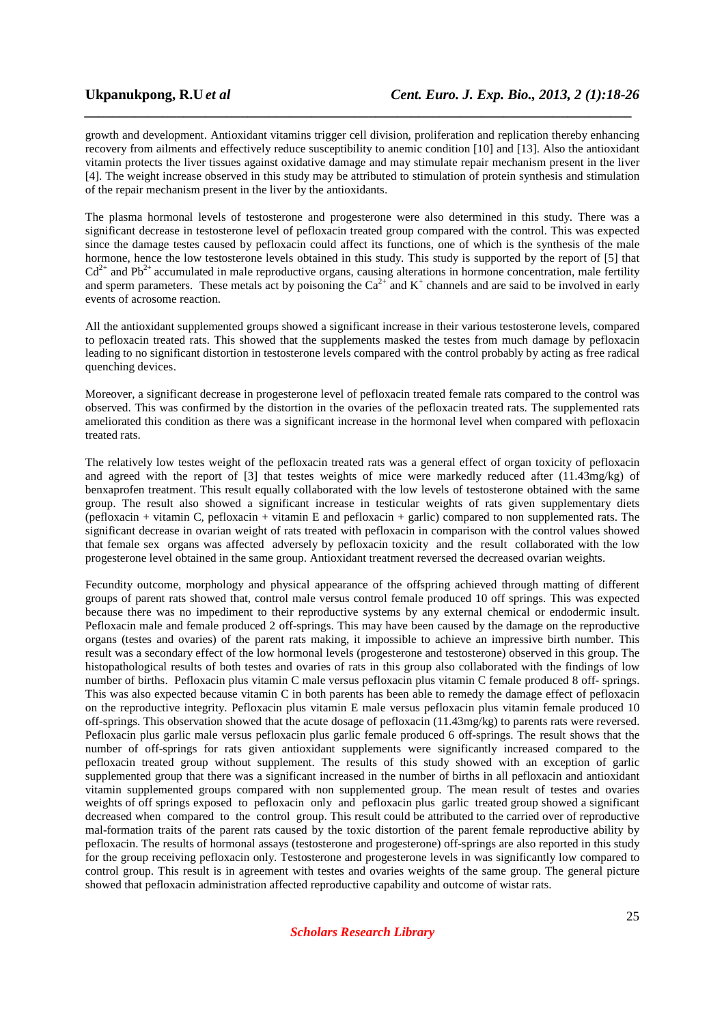growth and development. Antioxidant vitamins trigger cell division, proliferation and replication thereby enhancing recovery from ailments and effectively reduce susceptibility to anemic condition [10] and [13]. Also the antioxidant vitamin protects the liver tissues against oxidative damage and may stimulate repair mechanism present in the liver [4]. The weight increase observed in this study may be attributed to stimulation of protein synthesis and stimulation of the repair mechanism present in the liver by the antioxidants.

*\_\_\_\_\_\_\_\_\_\_\_\_\_\_\_\_\_\_\_\_\_\_\_\_\_\_\_\_\_\_\_\_\_\_\_\_\_\_\_\_\_\_\_\_\_\_\_\_\_\_\_\_\_\_\_\_\_\_\_\_\_\_\_\_\_\_\_\_\_\_\_\_\_\_\_\_\_*

The plasma hormonal levels of testosterone and progesterone were also determined in this study. There was a significant decrease in testosterone level of pefloxacin treated group compared with the control. This was expected since the damage testes caused by pefloxacin could affect its functions, one of which is the synthesis of the male hormone, hence the low testosterone levels obtained in this study. This study is supported by the report of [5] that  $Cd^{2+}$  and Pb<sup>2+</sup> accumulated in male reproductive organs, causing alterations in hormone concentration, male fertility and sperm parameters. These metals act by poisoning the  $Ca^{2+}$  and  $K^+$  channels and are said to be involved in early events of acrosome reaction.

All the antioxidant supplemented groups showed a significant increase in their various testosterone levels, compared to pefloxacin treated rats. This showed that the supplements masked the testes from much damage by pefloxacin leading to no significant distortion in testosterone levels compared with the control probably by acting as free radical quenching devices.

Moreover, a significant decrease in progesterone level of pefloxacin treated female rats compared to the control was observed. This was confirmed by the distortion in the ovaries of the pefloxacin treated rats. The supplemented rats ameliorated this condition as there was a significant increase in the hormonal level when compared with pefloxacin treated rats.

The relatively low testes weight of the pefloxacin treated rats was a general effect of organ toxicity of pefloxacin and agreed with the report of [3] that testes weights of mice were markedly reduced after (11.43mg/kg) of benxaprofen treatment. This result equally collaborated with the low levels of testosterone obtained with the same group. The result also showed a significant increase in testicular weights of rats given supplementary diets (pefloxacin + vitamin C, pefloxacin + vitamin E and pefloxacin + garlic) compared to non supplemented rats. The significant decrease in ovarian weight of rats treated with pefloxacin in comparison with the control values showed that female sex organs was affected adversely by pefloxacin toxicity and the result collaborated with the low progesterone level obtained in the same group. Antioxidant treatment reversed the decreased ovarian weights.

Fecundity outcome, morphology and physical appearance of the offspring achieved through matting of different groups of parent rats showed that, control male versus control female produced 10 off springs. This was expected because there was no impediment to their reproductive systems by any external chemical or endodermic insult. Pefloxacin male and female produced 2 off-springs. This may have been caused by the damage on the reproductive organs (testes and ovaries) of the parent rats making, it impossible to achieve an impressive birth number. This result was a secondary effect of the low hormonal levels (progesterone and testosterone) observed in this group. The histopathological results of both testes and ovaries of rats in this group also collaborated with the findings of low number of births. Pefloxacin plus vitamin C male versus pefloxacin plus vitamin C female produced 8 off- springs. This was also expected because vitamin C in both parents has been able to remedy the damage effect of pefloxacin on the reproductive integrity. Pefloxacin plus vitamin E male versus pefloxacin plus vitamin female produced 10 off-springs. This observation showed that the acute dosage of pefloxacin (11.43mg/kg) to parents rats were reversed. Pefloxacin plus garlic male versus pefloxacin plus garlic female produced 6 off-springs. The result shows that the number of off-springs for rats given antioxidant supplements were significantly increased compared to the pefloxacin treated group without supplement. The results of this study showed with an exception of garlic supplemented group that there was a significant increased in the number of births in all pefloxacin and antioxidant vitamin supplemented groups compared with non supplemented group. The mean result of testes and ovaries weights of off springs exposed to pefloxacin only and pefloxacin plus garlic treated group showed a significant decreased when compared to the control group. This result could be attributed to the carried over of reproductive mal-formation traits of the parent rats caused by the toxic distortion of the parent female reproductive ability by pefloxacin. The results of hormonal assays (testosterone and progesterone) off-springs are also reported in this study for the group receiving pefloxacin only. Testosterone and progesterone levels in was significantly low compared to control group. This result is in agreement with testes and ovaries weights of the same group. The general picture showed that pefloxacin administration affected reproductive capability and outcome of wistar rats.